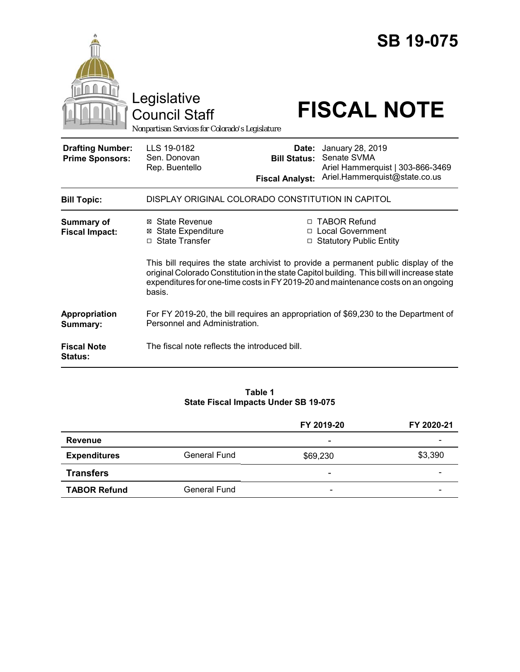|                                                   | Legislative<br><b>Council Staff</b><br>Nonpartisan Services for Colorado's Legislature                                                                                                                                                                                            |                              | <b>SB 19-075</b><br><b>FISCAL NOTE</b>                              |  |
|---------------------------------------------------|-----------------------------------------------------------------------------------------------------------------------------------------------------------------------------------------------------------------------------------------------------------------------------------|------------------------------|---------------------------------------------------------------------|--|
| <b>Drafting Number:</b><br><b>Prime Sponsors:</b> | LLS 19-0182<br>Sen. Donovan<br>Rep. Buentello                                                                                                                                                                                                                                     | Date:<br><b>Bill Status:</b> | January 28, 2019<br>Senate SVMA<br>Ariel Hammerquist   303-866-3469 |  |
|                                                   |                                                                                                                                                                                                                                                                                   | <b>Fiscal Analyst:</b>       | Ariel.Hammerquist@state.co.us                                       |  |
| <b>Bill Topic:</b>                                | DISPLAY ORIGINAL COLORADO CONSTITUTION IN CAPITOL                                                                                                                                                                                                                                 |                              |                                                                     |  |
| <b>Summary of</b><br><b>Fiscal Impact:</b>        | ⊠ State Revenue<br><b>⊠</b> State Expenditure<br>□ State Transfer                                                                                                                                                                                                                 |                              | □ TABOR Refund<br>□ Local Government<br>□ Statutory Public Entity   |  |
|                                                   | This bill requires the state archivist to provide a permanent public display of the<br>original Colorado Constitution in the state Capitol building. This bill will increase state<br>expenditures for one-time costs in FY 2019-20 and maintenance costs on an ongoing<br>basis. |                              |                                                                     |  |
| Appropriation<br>Summary:                         | For FY 2019-20, the bill requires an appropriation of \$69,230 to the Department of<br>Personnel and Administration.                                                                                                                                                              |                              |                                                                     |  |
| <b>Fiscal Note</b><br><b>Status:</b>              | The fiscal note reflects the introduced bill.                                                                                                                                                                                                                                     |                              |                                                                     |  |

#### **Table 1 State Fiscal Impacts Under SB 19-075**

|                     |                     | FY 2019-20               | FY 2020-21 |
|---------------------|---------------------|--------------------------|------------|
| Revenue             |                     | $\overline{\phantom{0}}$ | -          |
| <b>Expenditures</b> | <b>General Fund</b> | \$69,230                 | \$3,390    |
| <b>Transfers</b>    |                     | ۰                        |            |
| <b>TABOR Refund</b> | <b>General Fund</b> | $\overline{\phantom{a}}$ | -          |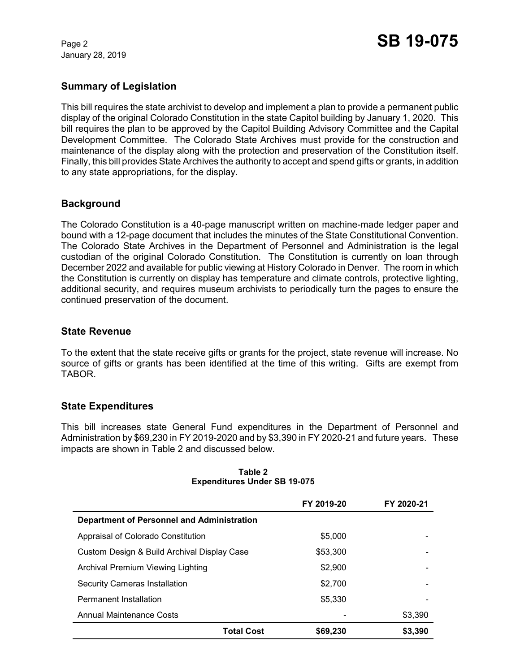January 28, 2019

# **Summary of Legislation**

This bill requires the state archivist to develop and implement a plan to provide a permanent public display of the original Colorado Constitution in the state Capitol building by January 1, 2020. This bill requires the plan to be approved by the Capitol Building Advisory Committee and the Capital Development Committee. The Colorado State Archives must provide for the construction and maintenance of the display along with the protection and preservation of the Constitution itself. Finally, this bill provides State Archives the authority to accept and spend gifts or grants, in addition to any state appropriations, for the display.

# **Background**

The Colorado Constitution is a 40-page manuscript written on machine-made ledger paper and bound with a 12-page document that includes the minutes of the State Constitutional Convention. The Colorado State Archives in the Department of Personnel and Administration is the legal custodian of the original Colorado Constitution. The Constitution is currently on loan through December 2022 and available for public viewing at History Colorado in Denver. The room in which the Constitution is currently on display has temperature and climate controls, protective lighting, additional security, and requires museum archivists to periodically turn the pages to ensure the continued preservation of the document.

### **State Revenue**

To the extent that the state receive gifts or grants for the project, state revenue will increase. No source of gifts or grants has been identified at the time of this writing. Gifts are exempt from TABOR.

### **State Expenditures**

This bill increases state General Fund expenditures in the Department of Personnel and Administration by \$69,230 in FY 2019-2020 and by \$3,390 in FY 2020-21 and future years. These impacts are shown in Table 2 and discussed below.

|                                             | FY 2019-20 | FY 2020-21 |
|---------------------------------------------|------------|------------|
| Department of Personnel and Administration  |            |            |
| Appraisal of Colorado Constitution          | \$5,000    |            |
| Custom Design & Build Archival Display Case | \$53,300   |            |
| Archival Premium Viewing Lighting           | \$2,900    |            |
| <b>Security Cameras Installation</b>        | \$2,700    |            |
| <b>Permanent Installation</b>               | \$5,330    |            |
| <b>Annual Maintenance Costs</b>             |            | \$3,390    |
| <b>Total Cost</b>                           | \$69,230   | \$3,390    |

**Table 2 Expenditures Under SB 19-075**